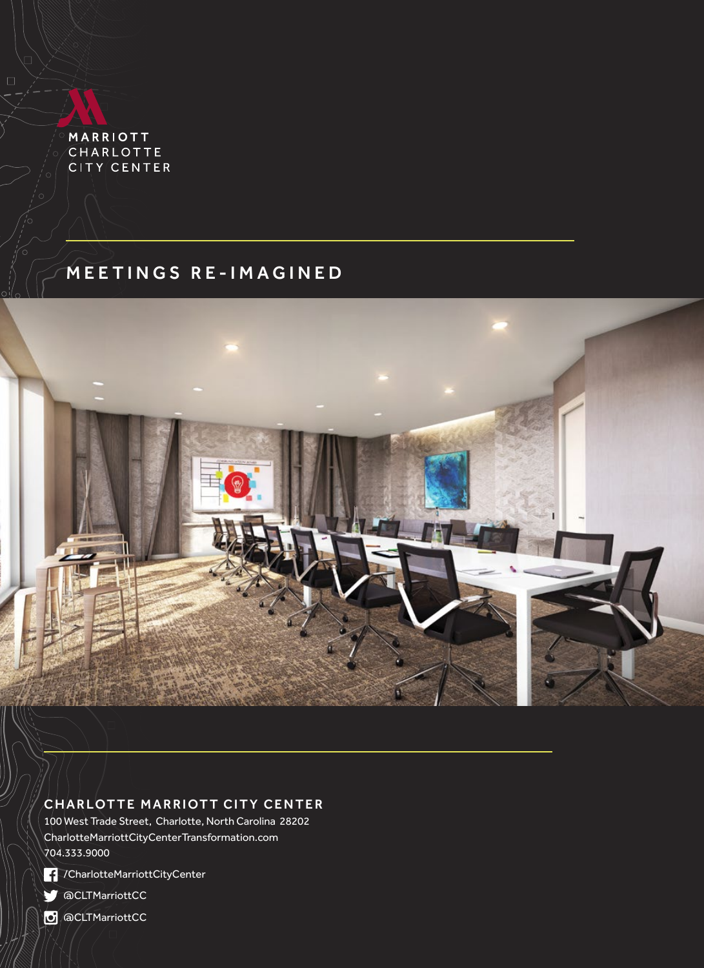MARRIOTT CHARLOTTE CITY CENTER

 $\Box$ 

# MEETINGS RE-IMAGINED



## CHARLOTTE MARRIOTT CITY CENTER

100 West Trade Street, Charlotte, North Carolina 28202 [CharlotteMarriottCityCenterTransformation.com](http://www.marriott.com/hotels/travel/cltcc-charlotte-marriott-city-center/) 704.333.9000



[/CharlotteMarriottCityCenter](https://www.facebook.com/CharlotteMarriottCityCenter)

**[@CLTMarriottCC](https://twitter.com/cltmarriottcc)** 

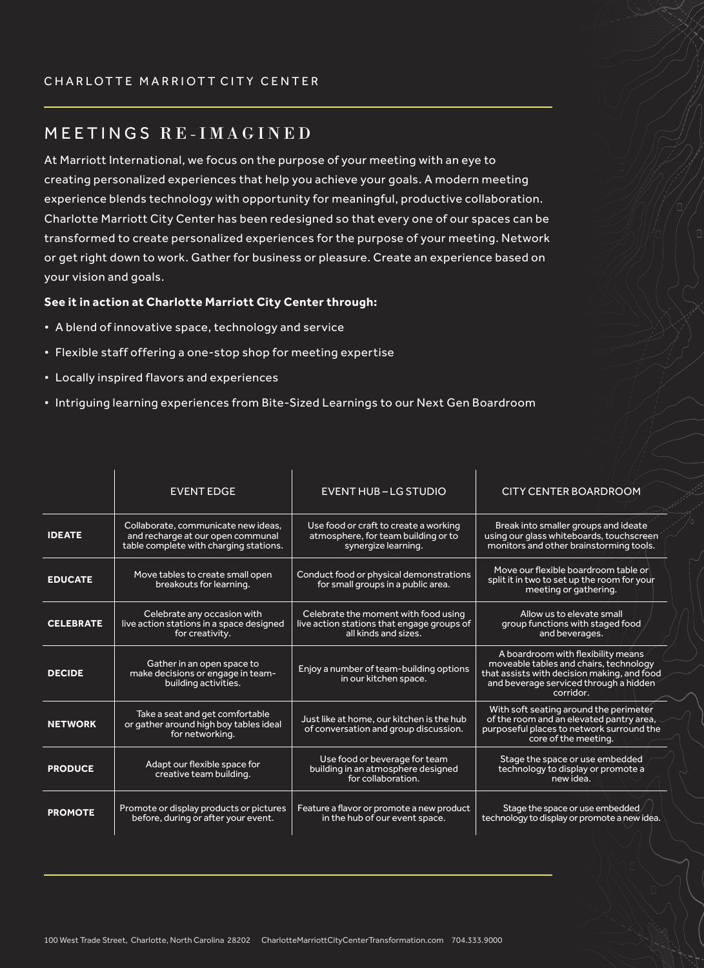# MEETINGS RE-IMAGINED

At Marriott International, we focus on the purpose of your meeting with an eye to creating personalized experiences that help you achieve your goals. A modern meeting experience blends technology with opportunity for meaningful, productive collaboration. Charlotte Marriott City Center has been redesigned so that every one of our spaces can be transformed to create personalized experiences for the purpose of your meeting. Network or get right down to work. Gather for business or pleasure. Create an experience based on your vision and goals.

#### **See it in action at Charlotte Marriott City Center through:**

- A blend of innovative space, technology and service
- Flexible staff offering a one-stop shop for meeting expertise
- Locally inspired flavors and experiences
- Intriguing learning experiences from Bite-Sized Learnings to our Next Gen Boardroom

|                  | <b>EVENT EDGE</b>                                                                                                  | <b>EVENT HUB-LG STUDIO</b>                                                                                 | <b>CITY CENTER BOARDROOM</b>                                                                                                                                                       |  |  |
|------------------|--------------------------------------------------------------------------------------------------------------------|------------------------------------------------------------------------------------------------------------|------------------------------------------------------------------------------------------------------------------------------------------------------------------------------------|--|--|
| <b>IDEATE</b>    | Collaborate, communicate new ideas,<br>and recharge at our open communal<br>table complete with charging stations. | Use food or craft to create a working<br>atmosphere, for team building or to<br>synergize learning.        | Break into smaller groups and ideate<br>using our glass whiteboards, touchscreen<br>monitors and other brainstorming tools.                                                        |  |  |
| <b>EDUCATE</b>   | Move tables to create small open<br>breakouts for learning.                                                        | Conduct food or physical demonstrations<br>for small groups in a public area.                              | Move our flexible boardroom table or<br>split it in two to set up the room for your<br>meeting or gathering.                                                                       |  |  |
| <b>CELEBRATE</b> | Celebrate any occasion with<br>live action stations in a space designed<br>for creativity.                         | Celebrate the moment with food using<br>live action stations that engage groups of<br>all kinds and sizes. | Allow us to elevate small<br>group functions with staged food<br>and beverages.                                                                                                    |  |  |
| <b>DECIDE</b>    | Gather in an open space to<br>make decisions or engage in team-<br>building activities.                            | Enjoy a number of team-building options<br>in our kitchen space.                                           | A boardroom with flexibility means<br>moveable tables and chairs, technology<br>that assists with decision making, and food<br>and beverage serviced through a hidden<br>corridor. |  |  |
| <b>NETWORK</b>   | Take a seat and get comfortable<br>or gather around high boy tables ideal<br>for networking.                       | Just like at home, our kitchen is the hub<br>of conversation and group discussion.                         | With soft seating around the perimeter<br>of the room and an elevated pantry area,<br>purposeful places to network surround the<br>core of the meeting.                            |  |  |
| <b>PRODUCE</b>   | Adapt our flexible space for<br>creative team building.                                                            | Use food or beverage for team<br>building in an atmosphere designed<br>for collaboration.                  | Stage the space or use embedded<br>technology to display or promote a<br>new idea.                                                                                                 |  |  |
| <b>PROMOTE</b>   | Promote or display products or pictures<br>before, during or after your event.                                     | Feature a flavor or promote a new product<br>in the hub of our event space.                                | Stage the space or use embedded<br>technology to display or promote a new idea.                                                                                                    |  |  |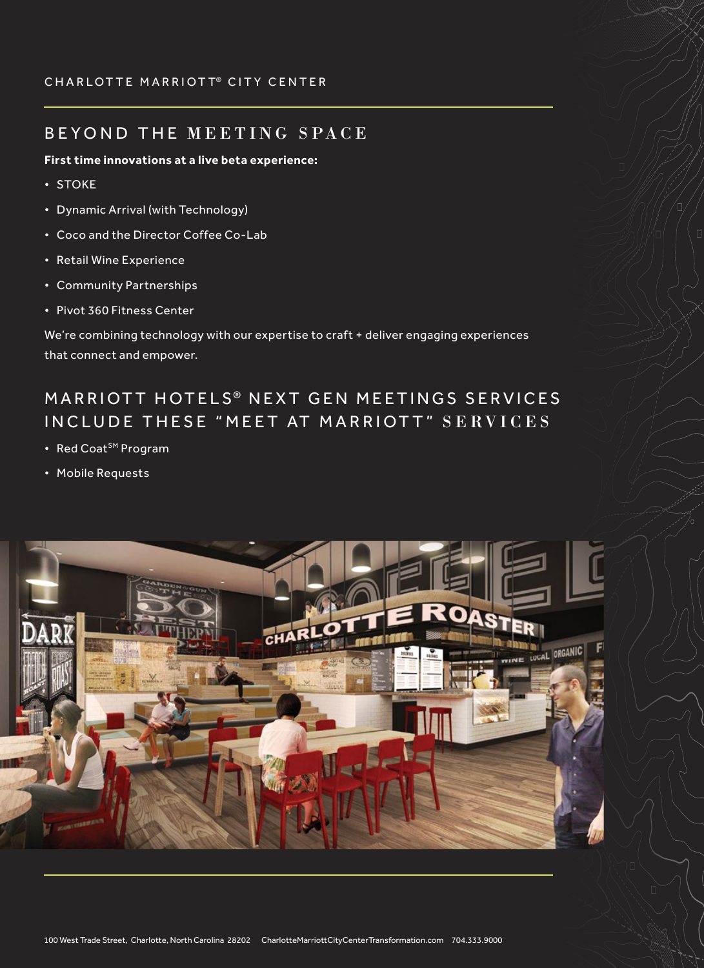### CHARLOTTE MARRIOTT® CITY CENTER

## BEYOND THE MEETING SPACE

#### **First time innovations at a live beta experience:**

- STOKE
- Dynamic Arrival (with Technology)
- Coco and the Director Coffee Co-Lab
- Retail Wine Experience
- Community Partnerships
- Pivot 360 Fitness Center

We're combining technology with our expertise to craft + deliver engaging experiences that connect and empower.

# MARRIOTT HOTELS<sup>®</sup> NEXT GEN MEETINGS SERVICES IN CLUDE THESE "MEET AT MARRIOTT" SERVICES

- Red Coat<sup>SM</sup> Program
- Mobile Requests

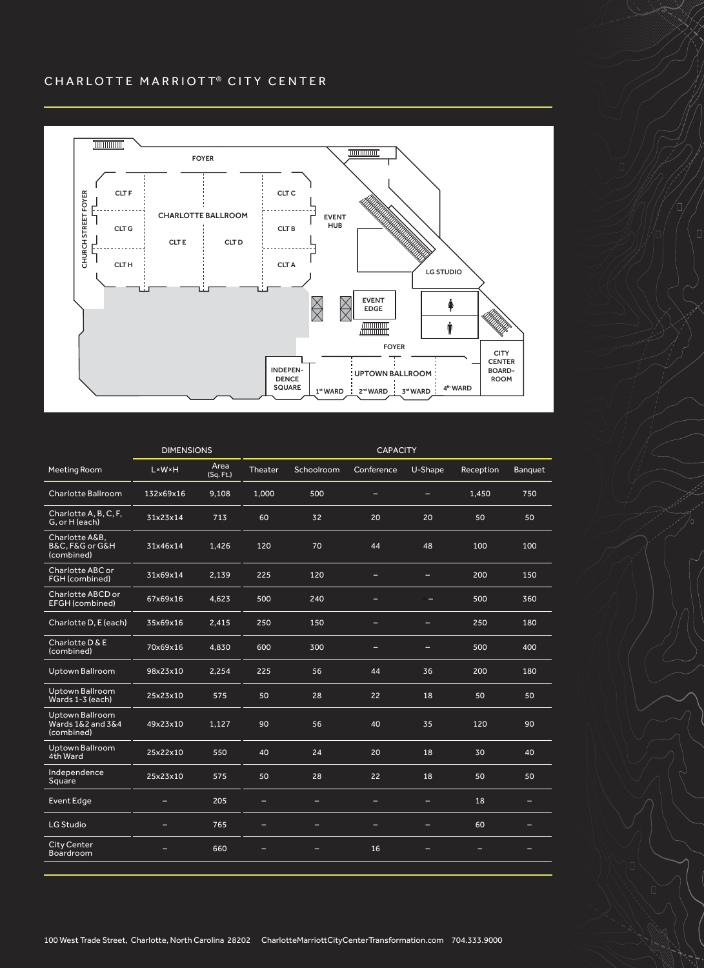### CHARLOTTE MARRIOTT® CITY CENTER



 $\Box$ 

|                                                           | <b>DIMENSIONS</b> |                   | <b>CAPACITY</b> |            |            |                          |           |         |  |
|-----------------------------------------------------------|-------------------|-------------------|-----------------|------------|------------|--------------------------|-----------|---------|--|
| Meeting Room                                              | <b>LW</b>         | Area<br>(Sq. Ft.) | Theater         | Schoolroom | Conference | U-Shape                  | Reception | Banquet |  |
| Charlotte Ballroom                                        | 132x69x16         | 9,108             | 1,000           | 500        | -          | $\overline{\phantom{0}}$ | 1,450     | 750     |  |
| Charlotte A, B, C, F,<br>G, or H (each)                   | 31x23x14          | 713               | 60              | 32         | 20         | 20                       | 50        | 50      |  |
| Charlotte A&B.<br>B&C, F&G or G&H<br>(combined)           | 31x46x14          | 1.426             | 120             | 70         | 44         | 48                       | 100       | 100     |  |
| Charlotte ABC or<br>FGH (combined)                        | 31x69x14          | 2,139             | 225             | 120        | -          | -                        | 200       | 150     |  |
| Charlotte ABCD or<br><b>EFGH</b> (combined)               | 67x69x16          | 4,623             | 500             | 240        | -          |                          | 500       | 360     |  |
| Charlotte D, E (each)                                     | 35x69x16          | 2,415             | 250             | 150        |            |                          | 250       | 180     |  |
| Charlotte D & E<br>(combined)                             | 70x69x16          | 4,830             | 600             | 300        | -          | -                        | 500       | 400     |  |
| <b>Uptown Ballroom</b>                                    | 98x23x10          | 2,254             | 225             | 56         | 44         | 36                       | 200       | 180     |  |
| Uptown Ballroom<br>Wards 1-3 (each)                       | 25x23x10          | 575               | 50              | 28         | 22         | 18                       | 50        | 50      |  |
| <b>Uptown Ballroom</b><br>Wards 1&2 and 3&4<br>(combined) | 49x23x10          | 1,127             | 90              | 56         | 40         | 35                       | 120       | 90      |  |
| <b>Uptown Ballroom</b><br>4th Ward                        | 25x22x10          | 550               | 40              | 24         | 20         | 18                       | 30        | 40      |  |
| Independence<br>Square                                    | 25x23x10          | 575               | 50              | 28         | 22         | 18                       | 50        | 50      |  |
| <b>Event Edge</b>                                         | -                 | 205               | -               | -          | =          | -                        | 18        | -       |  |
| LG Studio                                                 |                   | 765               |                 |            |            | -                        | 60        |         |  |
| <b>City Center</b><br><b>Boardroom</b>                    | =                 | 660               |                 |            | 16         |                          |           |         |  |

100 West Trade Street, Charlotte, North Carolina 28202 CharlotteMarriottCityCenterTransformation.com 704.333.9000